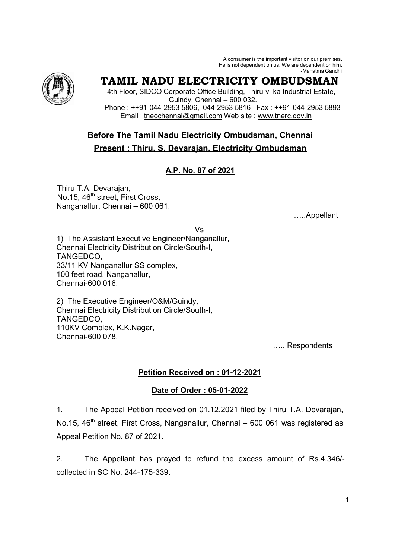A consumer is the important visitor on our premises. He is not dependent on us. We are dependent on him. -Mahatma Gandhi



# **TAMIL NADU ELECTRICITY OMBUDSMAN**

 4th Floor, SIDCO Corporate Office Building, Thiru-vi-ka Industrial Estate, Guindy, Chennai – 600 032. Phone : ++91-044-2953 5806, 044-2953 5816 Fax : ++91-044-2953 5893 Email : tneochennai@gmail.com Web site : www.tnerc.gov.in

## **Before The Tamil Nadu Electricity Ombudsman, Chennai Present : Thiru. S. Devarajan, Electricity Ombudsman**

### **A.P. No. 87 of 2021**

Thiru T.A. Devarajan, No.15, 46<sup>th</sup> street, First Cross, Nanganallur, Chennai – 600 061.

:..Appellant

Vs 1) The Assistant Executive Engineer/Nanganallur, Chennai Electricity Distribution Circle/South-I, TANGEDCO, 33/11 KV Nanganallur SS complex, 100 feet road, Nanganallur, Chennai-600 016.

2) The Executive Engineer/O&M/Guindy, Chennai Electricity Distribution Circle/South-I, TANGEDCO, 110KV Complex, K.K.Nagar, Chennai-600 078.

..... Respondents

### **Petition Received on : 01-12-2021**

#### **Date of Order : 05-01-2022**

1. The Appeal Petition received on 01.12.2021 filed by Thiru T.A. Devarajan, No.15, 46<sup>th</sup> street, First Cross, Nanganallur, Chennai – 600 061 was registered as Appeal Petition No. 87 of 2021.

2. The Appellant has prayed to refund the excess amount of Rs.4,346/ collected in SC No. 244-175-339.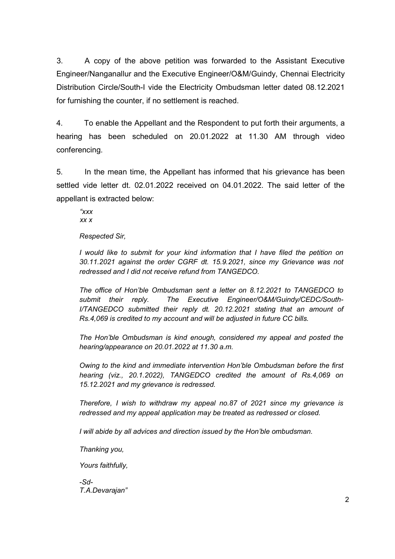3. A copy of the above petition was forwarded to the Assistant Executive Engineer/Nanganallur and the Executive Engineer/O&M/Guindy, Chennai Electricity Distribution Circle/South-I vide the Electricity Ombudsman letter dated 08.12.2021 for furnishing the counter, if no settlement is reached.

4. To enable the Appellant and the Respondent to put forth their arguments, a hearing has been scheduled on 20.01.2022 at 11.30 AM through video conferencing.

5. In the mean time, the Appellant has informed that his grievance has been settled vide letter dt. 02.01.2022 received on 04.01.2022. The said letter of the appellant is extracted below:

*"xxx xx x* 

*Respected Sir,* 

*I* would like to submit for your kind information that *I* have filed the petition on *30.11.2021 against the order CGRF dt. 15.9.2021, since my Grievance was not redressed and I did not receive refund from TANGEDCO.* 

*The office of Hon'ble Ombudsman sent a letter on 8.12.2021 to TANGEDCO to submit their reply. The Executive Engineer/O&M/Guindy/CEDC/South-I/TANGEDCO submitted their reply dt. 20.12.2021 stating that an amount of Rs.4,069 is credited to my account and will be adjusted in future CC bills.* 

*The Hon'ble Ombudsman is kind enough, considered my appeal and posted the hearing/appearance on 20.01.2022 at 11.30 a.m.* 

*Owing to the kind and immediate intervention Hon'ble Ombudsman before the first hearing (viz., 20.1.2022), TANGEDCO credited the amount of Rs.4,069 on 15.12.2021 and my grievance is redressed.* 

*Therefore, I wish to withdraw my appeal no.87 of 2021 since my grievance is redressed and my appeal application may be treated as redressed or closed.* 

*I will abide by all advices and direction issued by the Hon'ble ombudsman.* 

*Thanking you,* 

*Yours faithfully,* 

*-Sd-T.A.Devarajan"*